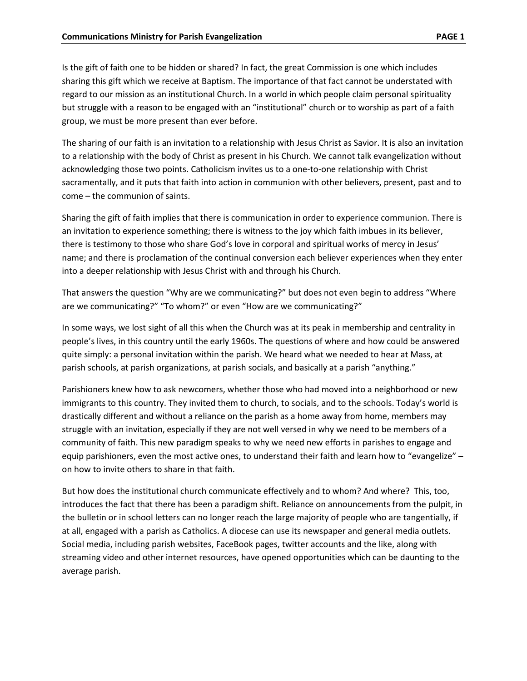Is the gift of faith one to be hidden or shared? In fact, the great Commission is one which includes sharing this gift which we receive at Baptism. The importance of that fact cannot be understated with regard to our mission as an institutional Church. In a world in which people claim personal spirituality but struggle with a reason to be engaged with an "institutional" church or to worship as part of a faith group, we must be more present than ever before.

The sharing of our faith is an invitation to a relationship with Jesus Christ as Savior. It is also an invitation to a relationship with the body of Christ as present in his Church. We cannot talk evangelization without acknowledging those two points. Catholicism invites us to a one-to-one relationship with Christ sacramentally, and it puts that faith into action in communion with other believers, present, past and to come – the communion of saints.

Sharing the gift of faith implies that there is communication in order to experience communion. There is an invitation to experience something; there is witness to the joy which faith imbues in its believer, there is testimony to those who share God's love in corporal and spiritual works of mercy in Jesus' name; and there is proclamation of the continual conversion each believer experiences when they enter into a deeper relationship with Jesus Christ with and through his Church.

That answers the question "Why are we communicating?" but does not even begin to address "Where are we communicating?" "To whom?" or even "How are we communicating?"

In some ways, we lost sight of all this when the Church was at its peak in membership and centrality in people's lives, in this country until the early 1960s. The questions of where and how could be answered quite simply: a personal invitation within the parish. We heard what we needed to hear at Mass, at parish schools, at parish organizations, at parish socials, and basically at a parish "anything."

Parishioners knew how to ask newcomers, whether those who had moved into a neighborhood or new immigrants to this country. They invited them to church, to socials, and to the schools. Today's world is drastically different and without a reliance on the parish as a home away from home, members may struggle with an invitation, especially if they are not well versed in why we need to be members of a community of faith. This new paradigm speaks to why we need new efforts in parishes to engage and equip parishioners, even the most active ones, to understand their faith and learn how to "evangelize" – on how to invite others to share in that faith.

But how does the institutional church communicate effectively and to whom? And where? This, too, introduces the fact that there has been a paradigm shift. Reliance on announcements from the pulpit, in the bulletin or in school letters can no longer reach the large majority of people who are tangentially, if at all, engaged with a parish as Catholics. A diocese can use its newspaper and general media outlets. Social media, including parish websites, FaceBook pages, twitter accounts and the like, along with streaming video and other internet resources, have opened opportunities which can be daunting to the average parish.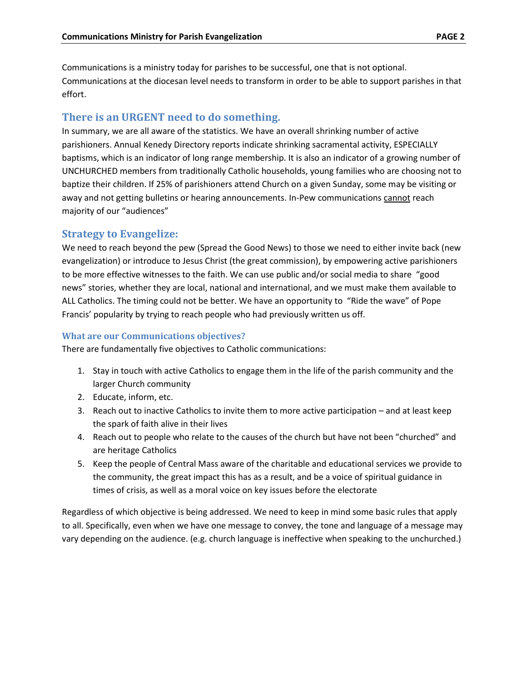Communications is a ministry today for parishes to be successful, one that is not optional. Communications at the diocesan level needs to transform in order to be able to support parishes in that effort.

## **There is an URGENT need to do something.**

In summary, we are all aware of the statistics. We have an overall shrinking number of active parishioners. Annual Kenedy Directory reports indicate shrinking sacramental activity, ESPECIALLY baptisms, which is an indicator of long range membership. It is also an indicator of a growing number of UNCHURCHED members from traditionally Catholic households, young families who are choosing not to baptize their children. If 25% of parishioners attend Church on a given Sunday, some may be visiting or away and not getting bulletins or hearing announcements. In-Pew communications cannot reach majority of our "audiences"

## **Strategy to Evangelize:**

We need to reach beyond the pew (Spread the Good News) to those we need to either invite back (new evangelization) or introduce to Jesus Christ (the great commission), by empowering active parishioners to be more effective witnesses to the faith. We can use public and/or social media to share "good news" stories, whether they are local, national and international, and we must make them available to ALL Catholics. The timing could not be better. We have an opportunity to "Ride the wave" of Pope Francis' popularity by trying to reach people who had previously written us off.

#### **What are our Communications objectives?**

There are fundamentally five objectives to Catholic communications:

- 1. Stay in touch with active Catholics to engage them in the life of the parish community and the larger Church community
- 2. Educate, inform, etc.
- 3. Reach out to inactive Catholics to invite them to more active participation and at least keep the spark of faith alive in their lives
- 4. Reach out to people who relate to the causes of the church but have not been "churched" and are heritage Catholics
- 5. Keep the people of Central Mass aware of the charitable and educational services we provide to the community, the great impact this has as a result, and be a voice of spiritual guidance in times of crisis, as well as a moral voice on key issues before the electorate

Regardless of which objective is being addressed. We need to keep in mind some basic rules that apply to all. Specifically, even when we have one message to convey, the tone and language of a message may vary depending on the audience. (e.g. church language is ineffective when speaking to the unchurched.)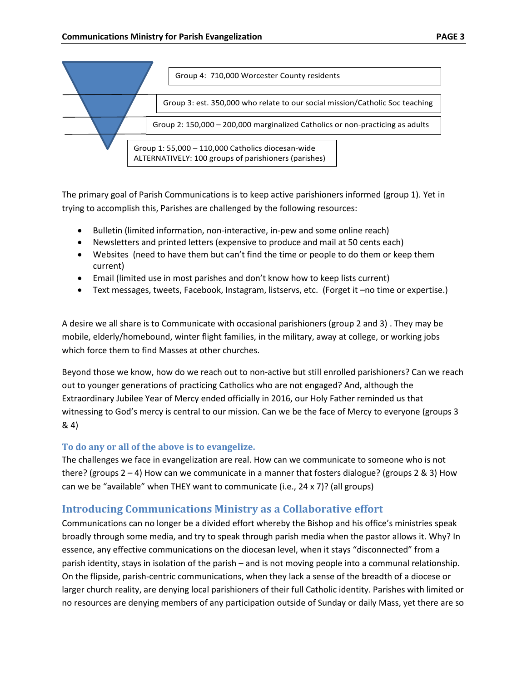



The primary goal of Parish Communications is to keep active parishioners informed (group 1). Yet in trying to accomplish this, Parishes are challenged by the following resources:

- Bulletin (limited information, non-interactive, in-pew and some online reach)
- Newsletters and printed letters (expensive to produce and mail at 50 cents each)
- Websites (need to have them but can't find the time or people to do them or keep them current)
- Email (limited use in most parishes and don't know how to keep lists current)
- Text messages, tweets, Facebook, Instagram, listservs, etc. (Forget it –no time or expertise.)

A desire we all share is to Communicate with occasional parishioners (group 2 and 3) . They may be mobile, elderly/homebound, winter flight families, in the military, away at college, or working jobs which force them to find Masses at other churches.

Beyond those we know, how do we reach out to non-active but still enrolled parishioners? Can we reach out to younger generations of practicing Catholics who are not engaged? And, although the Extraordinary Jubilee Year of Mercy ended officially in 2016, our Holy Father reminded us that witnessing to God's mercy is central to our mission. Can we be the face of Mercy to everyone (groups 3 & 4)

## **To do any or all of the above is to evangelize.**

The challenges we face in evangelization are real. How can we communicate to someone who is not there? (groups 2 – 4) How can we communicate in a manner that fosters dialogue? (groups 2 & 3) How can we be "available" when THEY want to communicate (i.e., 24 x 7)? (all groups)

# **Introducing Communications Ministry as a Collaborative effort**

Communications can no longer be a divided effort whereby the Bishop and his office's ministries speak broadly through some media, and try to speak through parish media when the pastor allows it. Why? In essence, any effective communications on the diocesan level, when it stays "disconnected" from a parish identity, stays in isolation of the parish – and is not moving people into a communal relationship. On the flipside, parish-centric communications, when they lack a sense of the breadth of a diocese or larger church reality, are denying local parishioners of their full Catholic identity. Parishes with limited or no resources are denying members of any participation outside of Sunday or daily Mass, yet there are so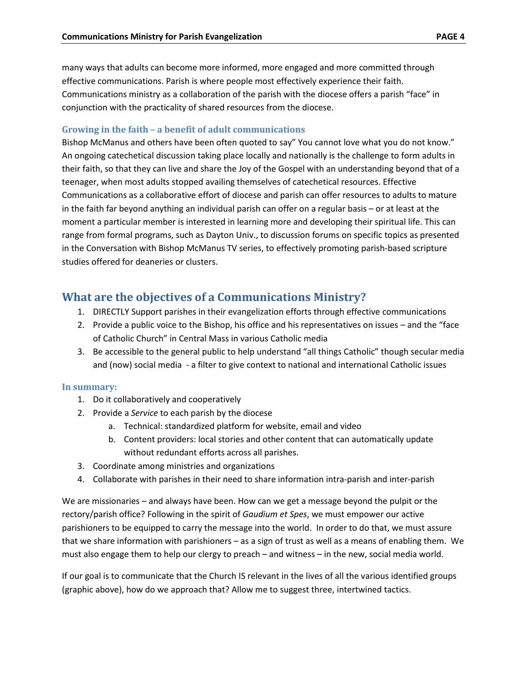many ways that adults can become more informed, more engaged and more committed through effective communications. Parish is where people most effectively experience their faith. Communications ministry as a collaboration of the parish with the diocese offers a parish "face" in conjunction with the practicality of shared resources from the diocese.

#### **Growing in the faith – a benefit of adult communications**

Bishop McManus and others have been often quoted to say" You cannot love what you do not know." An ongoing catechetical discussion taking place locally and nationally is the challenge to form adults in their faith, so that they can live and share the Joy of the Gospel with an understanding beyond that of a teenager, when most adults stopped availing themselves of catechetical resources. Effective Communications as a collaborative effort of diocese and parish can offer resources to adults to mature in the faith far beyond anything an individual parish can offer on a regular basis – or at least at the moment a particular member is interested in learning more and developing their spiritual life. This can range from formal programs, such as Dayton Univ., to discussion forums on specific topics as presented in the Conversation with Bishop McManus TV series, to effectively promoting parish-based scripture studies offered for deaneries or clusters.

# **What are the objectives of a Communications Ministry?**

- 1. DIRECTLY Support parishes in their evangelization efforts through effective communications
- 2. Provide a public voice to the Bishop, his office and his representatives on issues and the "face of Catholic Church" in Central Mass in various Catholic media
- 3. Be accessible to the general public to help understand "all things Catholic" though secular media and (now) social media - a filter to give context to national and international Catholic issues

#### **In summary:**

- 1. Do it collaboratively and cooperatively
- 2. Provide a *Service* to each parish by the diocese
	- a. Technical: standardized platform for website, email and video
	- b. Content providers: local stories and other content that can automatically update without redundant efforts across all parishes.
- 3. Coordinate among ministries and organizations
- 4. Collaborate with parishes in their need to share information intra-parish and inter-parish

We are missionaries – and always have been. How can we get a message beyond the pulpit or the rectory/parish office? Following in the spirit of *Gaudium et Spes*, we must empower our active parishioners to be equipped to carry the message into the world. In order to do that, we must assure that we share information with parishioners – as a sign of trust as well as a means of enabling them. We must also engage them to help our clergy to preach – and witness – in the new, social media world.

If our goal is to communicate that the Church IS relevant in the lives of all the various identified groups (graphic above), how do we approach that? Allow me to suggest three, intertwined tactics.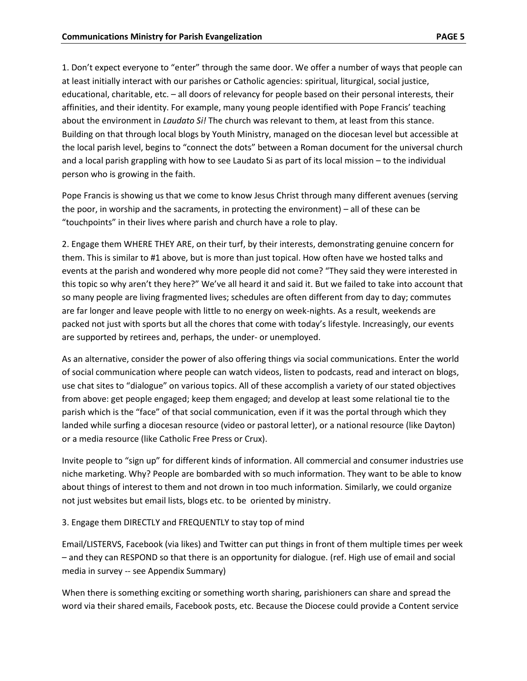1. Don't expect everyone to "enter" through the same door. We offer a number of ways that people can at least initially interact with our parishes or Catholic agencies: spiritual, liturgical, social justice, educational, charitable, etc. – all doors of relevancy for people based on their personal interests, their affinities, and their identity. For example, many young people identified with Pope Francis' teaching about the environment in *Laudato Si!* The church was relevant to them, at least from this stance. Building on that through local blogs by Youth Ministry, managed on the diocesan level but accessible at the local parish level, begins to "connect the dots" between a Roman document for the universal church and a local parish grappling with how to see Laudato Si as part of its local mission – to the individual person who is growing in the faith.

Pope Francis is showing us that we come to know Jesus Christ through many different avenues (serving the poor, in worship and the sacraments, in protecting the environment) – all of these can be "touchpoints" in their lives where parish and church have a role to play.

2. Engage them WHERE THEY ARE, on their turf, by their interests, demonstrating genuine concern for them. This is similar to #1 above, but is more than just topical. How often have we hosted talks and events at the parish and wondered why more people did not come? "They said they were interested in this topic so why aren't they here?" We've all heard it and said it. But we failed to take into account that so many people are living fragmented lives; schedules are often different from day to day; commutes are far longer and leave people with little to no energy on week-nights. As a result, weekends are packed not just with sports but all the chores that come with today's lifestyle. Increasingly, our events are supported by retirees and, perhaps, the under- or unemployed.

As an alternative, consider the power of also offering things via social communications. Enter the world of social communication where people can watch videos, listen to podcasts, read and interact on blogs, use chat sites to "dialogue" on various topics. All of these accomplish a variety of our stated objectives from above: get people engaged; keep them engaged; and develop at least some relational tie to the parish which is the "face" of that social communication, even if it was the portal through which they landed while surfing a diocesan resource (video or pastoral letter), or a national resource (like Dayton) or a media resource (like Catholic Free Press or Crux).

Invite people to "sign up" for different kinds of information. All commercial and consumer industries use niche marketing. Why? People are bombarded with so much information. They want to be able to know about things of interest to them and not drown in too much information. Similarly, we could organize not just websites but email lists, blogs etc. to be oriented by ministry.

#### 3. Engage them DIRECTLY and FREQUENTLY to stay top of mind

Email/LISTERVS, Facebook (via likes) and Twitter can put things in front of them multiple times per week – and they can RESPOND so that there is an opportunity for dialogue. (ref. High use of email and social media in survey -- see Appendix Summary)

When there is something exciting or something worth sharing, parishioners can share and spread the word via their shared emails, Facebook posts, etc. Because the Diocese could provide a Content service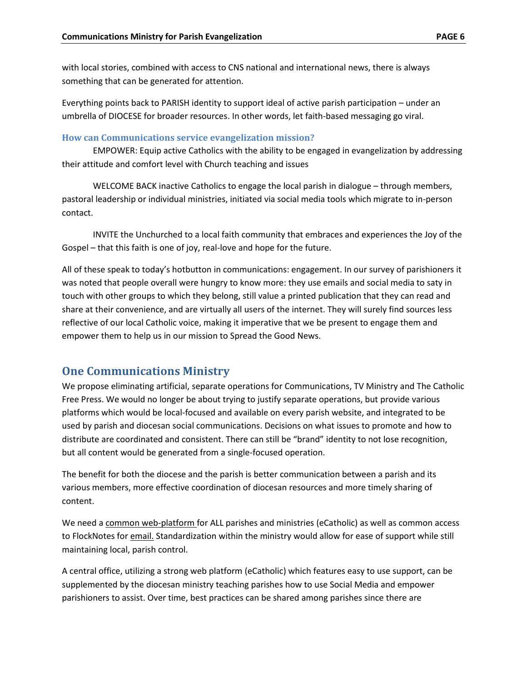with local stories, combined with access to CNS national and international news, there is always something that can be generated for attention.

Everything points back to PARISH identity to support ideal of active parish participation – under an umbrella of DIOCESE for broader resources. In other words, let faith-based messaging go viral.

#### **How can Communications service evangelization mission?**

EMPOWER: Equip active Catholics with the ability to be engaged in evangelization by addressing their attitude and comfort level with Church teaching and issues

WELCOME BACK inactive Catholics to engage the local parish in dialogue – through members, pastoral leadership or individual ministries, initiated via social media tools which migrate to in-person contact.

INVITE the Unchurched to a local faith community that embraces and experiences the Joy of the Gospel – that this faith is one of joy, real-love and hope for the future.

All of these speak to today's hotbutton in communications: engagement. In our survey of parishioners it was noted that people overall were hungry to know more: they use emails and social media to saty in touch with other groups to which they belong, still value a printed publication that they can read and share at their convenience, and are virtually all users of the internet. They will surely find sources less reflective of our local Catholic voice, making it imperative that we be present to engage them and empower them to help us in our mission to Spread the Good News.

# **One Communications Ministry**

We propose eliminating artificial, separate operations for Communications, TV Ministry and The Catholic Free Press. We would no longer be about trying to justify separate operations, but provide various platforms which would be local-focused and available on every parish website, and integrated to be used by parish and diocesan social communications. Decisions on what issues to promote and how to distribute are coordinated and consistent. There can still be "brand" identity to not lose recognition, but all content would be generated from a single-focused operation.

The benefit for both the diocese and the parish is better communication between a parish and its various members, more effective coordination of diocesan resources and more timely sharing of content.

We need a common web-platform for ALL parishes and ministries (eCatholic) as well as common access to FlockNotes for email. Standardization within the ministry would allow for ease of support while still maintaining local, parish control.

A central office, utilizing a strong web platform (eCatholic) which features easy to use support, can be supplemented by the diocesan ministry teaching parishes how to use Social Media and empower parishioners to assist. Over time, best practices can be shared among parishes since there are